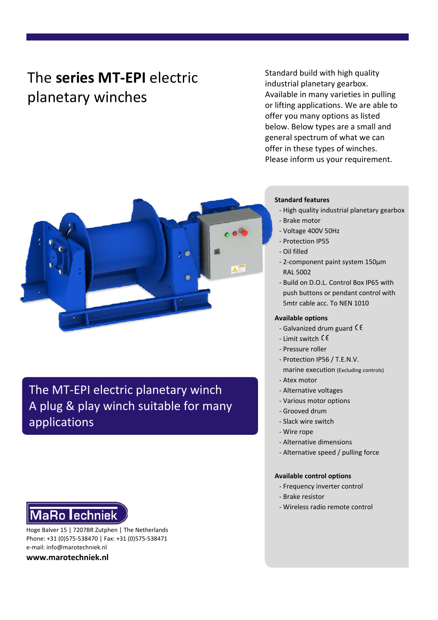# The **series MT-EPI** electric planetary winches

Standard build with high quality industrial planetary gearbox. Available in many varieties in pulling or lifting applications. We are able to offer you many options as listed below. Below types are a small and general spectrum of what we can offer in these types of winches. Please inform us your requirement.



The MT-EPI electric planetary winch A plug & play winch suitable for many applications

# **MaRo lechniek**

Hoge Balver 15 | 7207BR Zutphen | The Netherlands Phone: +31 (0)575-538470 | Fax: +31 (0)575-538471 e-mail: info@marotechniek.nl

**www.marotechniek.nl**

#### **Standard features**

- High quality industrial planetary gearbox
- Brake motor
- Voltage 400V 50Hz
- Protection IP55
- Oil filled
- 2-component paint system 150μm RAL 5002
- Build on D.O.L. Control Box IP65 with push buttons or pendant control with 5mtr cable acc. To NEN 1010

#### **Available options**

- Galvanized drum guard  $\zeta$
- Limit switch
- Pressure roller
- Protection IP56 / T.E.N.V. marine execution (Excluding controls)
- Atex motor
- Alternative voltages
- Various motor options
- Grooved drum
- Slack wire switch
- Wire rope
- Alternative dimensions
- Alternative speed / pulling force

#### **Available control options**

- Frequency inverter control
- Brake resistor
- Wireless radio remote control